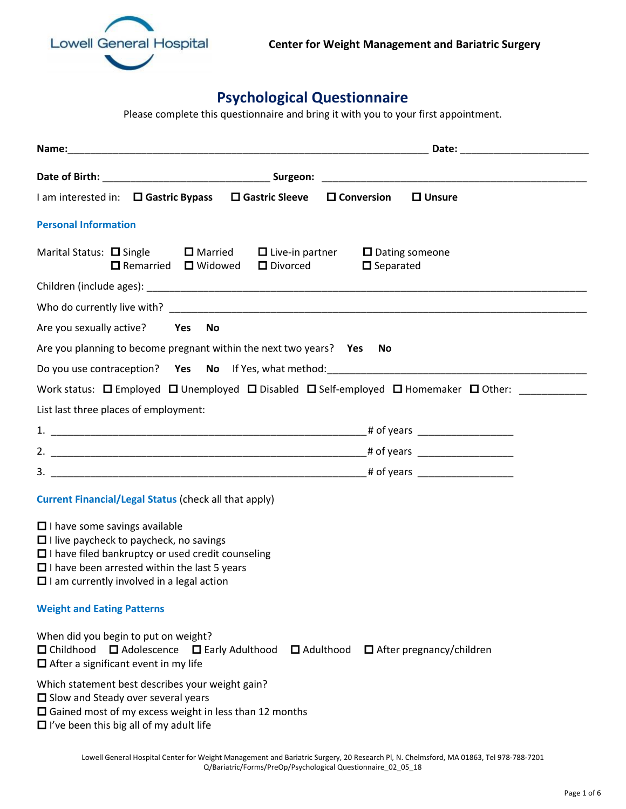

## **Psychological Questionnaire**

Please complete this questionnaire and bring it with you to your first appointment.

|                                                                                                                                                                                                                                                               | Date: the contract of the contract of the contract of the contract of the contract of the contract of the contract of the contract of the contract of the contract of the contract of the contract of the contract of the cont |
|---------------------------------------------------------------------------------------------------------------------------------------------------------------------------------------------------------------------------------------------------------------|--------------------------------------------------------------------------------------------------------------------------------------------------------------------------------------------------------------------------------|
|                                                                                                                                                                                                                                                               |                                                                                                                                                                                                                                |
| I am interested in: □ Gastric Bypass □ Gastric Sleeve<br>$\square$ Conversion                                                                                                                                                                                 | $\Box$ Unsure                                                                                                                                                                                                                  |
| <b>Personal Information</b>                                                                                                                                                                                                                                   |                                                                                                                                                                                                                                |
| Marital Status: $\Box$ Single<br>$\Box$ Married $\Box$ Live-in partner<br>D Divorced<br>$\Box$ Remarried $\Box$ Widowed                                                                                                                                       | $\Box$ Dating someone<br>$\Box$ Separated                                                                                                                                                                                      |
|                                                                                                                                                                                                                                                               |                                                                                                                                                                                                                                |
|                                                                                                                                                                                                                                                               |                                                                                                                                                                                                                                |
| Are you sexually active? Yes<br>No                                                                                                                                                                                                                            |                                                                                                                                                                                                                                |
| Are you planning to become pregnant within the next two years? Yes No                                                                                                                                                                                         |                                                                                                                                                                                                                                |
|                                                                                                                                                                                                                                                               |                                                                                                                                                                                                                                |
| Work status: $\Box$ Employed $\Box$ Unemployed $\Box$ Disabled $\Box$ Self-employed $\Box$ Homemaker $\Box$ Other:                                                                                                                                            |                                                                                                                                                                                                                                |
| List last three places of employment:                                                                                                                                                                                                                         |                                                                                                                                                                                                                                |
|                                                                                                                                                                                                                                                               |                                                                                                                                                                                                                                |
|                                                                                                                                                                                                                                                               |                                                                                                                                                                                                                                |
|                                                                                                                                                                                                                                                               |                                                                                                                                                                                                                                |
| <b>Current Financial/Legal Status (check all that apply)</b>                                                                                                                                                                                                  |                                                                                                                                                                                                                                |
| $\Box$ I have some savings available<br>$\Box$ I live paycheck to paycheck, no savings<br>$\Box$ I have filed bankruptcy or used credit counseling<br>$\Box$ I have been arrested within the last 5 years<br>$\Box$ I am currently involved in a legal action |                                                                                                                                                                                                                                |
| <b>Weight and Eating Patterns</b>                                                                                                                                                                                                                             |                                                                                                                                                                                                                                |
| When did you begin to put on weight?<br>□ Adolescence □ Early Adulthood<br>□ Childhood<br>$\Box$ After a significant event in my life                                                                                                                         | $\Box$ Adulthood $\Box$ After pregnancy/children                                                                                                                                                                               |
| Which statement best describes your weight gain?<br>$\Box$ Slow and Steady over several years<br>$\Box$ Gained most of my excess weight in less than 12 months<br>$\Box$ I've been this big all of my adult life                                              |                                                                                                                                                                                                                                |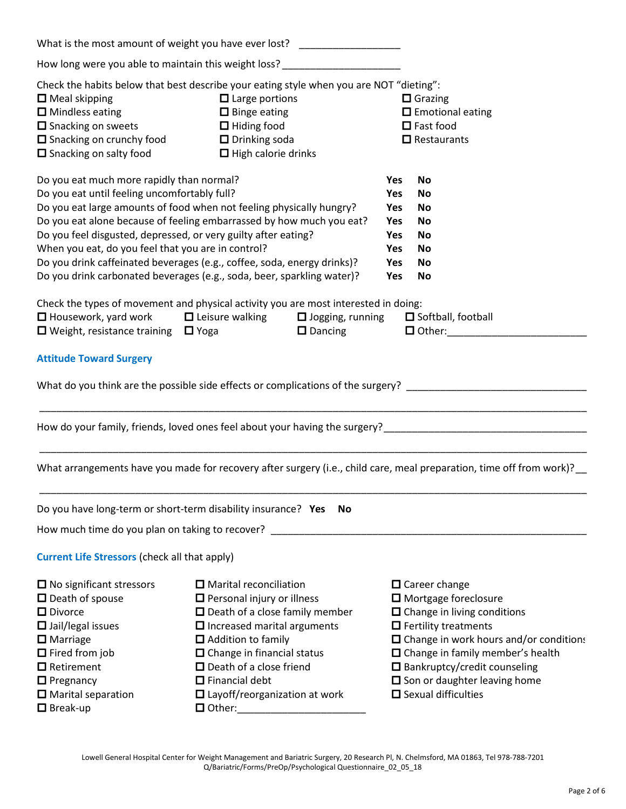|                                                                                                                                                                                                                                                                                                                                                                   | What is the most amount of weight you have ever lost? ____________________                                                                                                                                                                                                                                                            |                                                                                  |                                                                                                                                                                                                                                                                                                                           |
|-------------------------------------------------------------------------------------------------------------------------------------------------------------------------------------------------------------------------------------------------------------------------------------------------------------------------------------------------------------------|---------------------------------------------------------------------------------------------------------------------------------------------------------------------------------------------------------------------------------------------------------------------------------------------------------------------------------------|----------------------------------------------------------------------------------|---------------------------------------------------------------------------------------------------------------------------------------------------------------------------------------------------------------------------------------------------------------------------------------------------------------------------|
| How long were you able to maintain this weight loss?                                                                                                                                                                                                                                                                                                              |                                                                                                                                                                                                                                                                                                                                       |                                                                                  |                                                                                                                                                                                                                                                                                                                           |
| Check the habits below that best describe your eating style when you are NOT "dieting":<br>$\Box$ Meal skipping<br>$\Box$ Large portions<br>$\Box$ Mindless eating<br>$\Box$ Binge eating<br>$\Box$ Snacking on sweets<br>$\Box$ Hiding food<br>$\Box$ Snacking on crunchy food<br>$\Box$ Drinking soda<br>□ Snacking on salty food<br>$\Box$ High calorie drinks |                                                                                                                                                                                                                                                                                                                                       |                                                                                  | $\Box$ Grazing<br>$\Box$ Emotional eating<br>$\Box$ Fast food<br>$\Box$ Restaurants                                                                                                                                                                                                                                       |
| Do you eat much more rapidly than normal?<br>Do you eat until feeling uncomfortably full?<br>Do you feel disgusted, depressed, or very guilty after eating?<br>When you eat, do you feel that you are in control?                                                                                                                                                 | Do you eat large amounts of food when not feeling physically hungry?<br>Do you eat alone because of feeling embarrassed by how much you eat?<br>Do you drink caffeinated beverages (e.g., coffee, soda, energy drinks)?<br>Do you drink carbonated beverages (e.g., soda, beer, sparkling water)?                                     | <b>Yes</b><br><b>Yes</b><br><b>Yes</b><br><b>Yes</b><br>Yes<br>Yes<br>Yes<br>Yes | <b>No</b><br><b>No</b><br><b>No</b><br>No<br>No<br>No<br>No<br>No                                                                                                                                                                                                                                                         |
| $\Box$ Housework, yard work<br>$\Box$ Weight, resistance training $\Box$ Yoga                                                                                                                                                                                                                                                                                     | Check the types of movement and physical activity you are most interested in doing:<br>$\Box$ Leisure walking<br>$\Box$ Jogging, running<br>$\Box$ Dancing                                                                                                                                                                            |                                                                                  | $\Box$ Softball, football<br>$\Box$ Other:                                                                                                                                                                                                                                                                                |
| <b>Attitude Toward Surgery</b>                                                                                                                                                                                                                                                                                                                                    |                                                                                                                                                                                                                                                                                                                                       |                                                                                  |                                                                                                                                                                                                                                                                                                                           |
|                                                                                                                                                                                                                                                                                                                                                                   | What do you think are the possible side effects or complications of the surgery? _____________________________                                                                                                                                                                                                                        |                                                                                  |                                                                                                                                                                                                                                                                                                                           |
|                                                                                                                                                                                                                                                                                                                                                                   | How do your family, friends, loved ones feel about your having the surgery?___________________________________                                                                                                                                                                                                                        |                                                                                  |                                                                                                                                                                                                                                                                                                                           |
|                                                                                                                                                                                                                                                                                                                                                                   | What arrangements have you made for recovery after surgery (i.e., child care, meal preparation, time off from work)?                                                                                                                                                                                                                  |                                                                                  |                                                                                                                                                                                                                                                                                                                           |
| Do you have long-term or short-term disability insurance? Yes                                                                                                                                                                                                                                                                                                     | <b>No</b>                                                                                                                                                                                                                                                                                                                             |                                                                                  |                                                                                                                                                                                                                                                                                                                           |
| How much time do you plan on taking to recover? _                                                                                                                                                                                                                                                                                                                 |                                                                                                                                                                                                                                                                                                                                       |                                                                                  |                                                                                                                                                                                                                                                                                                                           |
| <b>Current Life Stressors (check all that apply)</b>                                                                                                                                                                                                                                                                                                              |                                                                                                                                                                                                                                                                                                                                       |                                                                                  |                                                                                                                                                                                                                                                                                                                           |
| $\Box$ No significant stressors<br>$\Box$ Death of spouse<br>$\Box$ Divorce<br>$\Box$ Jail/legal issues<br>$\Box$ Marriage<br>$\Box$ Fired from job<br>$\Box$ Retirement<br>$\Box$ Pregnancy<br>$\Box$ Marital separation<br>$\Box$ Break-up                                                                                                                      | $\Box$ Marital reconciliation<br>$\Box$ Personal injury or illness<br>$\Box$ Death of a close family member<br>$\Box$ Increased marital arguments<br>□ Addition to family<br>$\Box$ Change in financial status<br>$\Box$ Death of a close friend<br>$\Box$ Financial debt<br>$\square$ Layoff/reorganization at work<br>$\Box$ Other: |                                                                                  | $\square$ Career change<br>$\Box$ Mortgage foreclosure<br>$\Box$ Change in living conditions<br>$\Box$ Fertility treatments<br>□ Change in work hours and/or conditions<br>□ Change in family member's health<br>$\Box$ Bankruptcy/credit counseling<br>$\Box$ Son or daughter leaving home<br>$\Box$ Sexual difficulties |

Lowell General Hospital Center for Weight Management and Bariatric Surgery, 20 Research Pl, N. Chelmsford, MA 01863, Tel 978-788-7201 Q/Bariatric/Forms/PreOp/Psychological Questionnaire\_02\_05\_18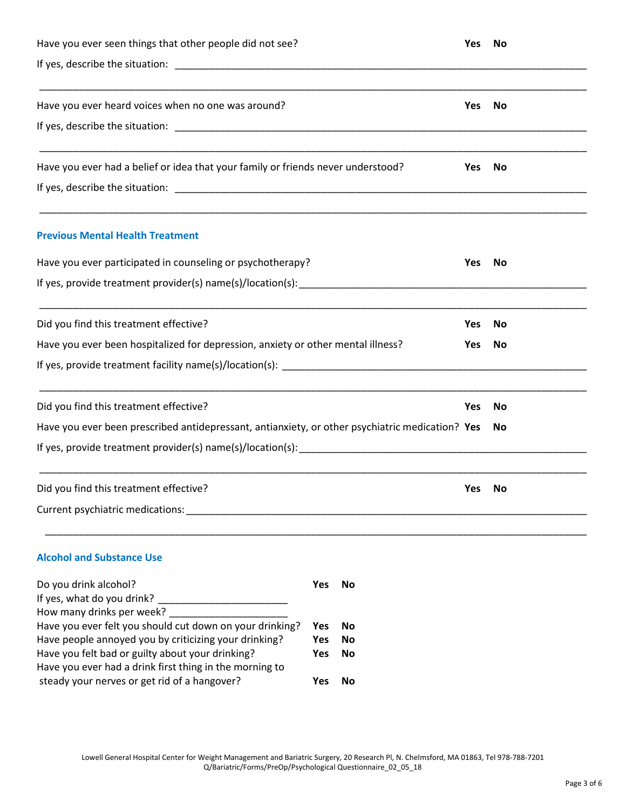| Have you ever seen things that other people did not see?                                                  |                   | <b>Yes</b>      | No         |    |  |
|-----------------------------------------------------------------------------------------------------------|-------------------|-----------------|------------|----|--|
|                                                                                                           |                   |                 |            |    |  |
| Have you ever heard voices when no one was around?                                                        |                   |                 | Yes        | No |  |
| Have you ever had a belief or idea that your family or friends never understood?                          |                   |                 | Yes        | No |  |
| <b>Previous Mental Health Treatment</b>                                                                   |                   |                 |            |    |  |
| Have you ever participated in counseling or psychotherapy?                                                |                   | <b>Yes</b>      | No         |    |  |
|                                                                                                           |                   |                 |            |    |  |
| Did you find this treatment effective?                                                                    |                   | <b>Yes</b>      | No         |    |  |
| Have you ever been hospitalized for depression, anxiety or other mental illness?                          |                   | <b>Yes</b>      | No         |    |  |
|                                                                                                           |                   |                 |            |    |  |
| Did you find this treatment effective?                                                                    |                   |                 | <b>Yes</b> | No |  |
| Have you ever been prescribed antidepressant, antianxiety, or other psychiatric medication? Yes           |                   |                 |            | No |  |
|                                                                                                           |                   |                 |            |    |  |
| Did you find this treatment effective?<br>Current psychiatric medications:                                |                   |                 | <b>Yes</b> | No |  |
| <b>Alcohol and Substance Use</b>                                                                          |                   |                 |            |    |  |
| Do you drink alcohol?<br>If yes, what do you drink?                                                       | <b>Yes</b>        | <b>No</b>       |            |    |  |
| Have you ever felt you should cut down on your drinking?                                                  | <b>Yes</b>        | No              |            |    |  |
| Have people annoyed you by criticizing your drinking?<br>Have you felt bad or guilty about your drinking? | <b>Yes</b><br>Yes | <b>No</b><br>No |            |    |  |
| Have you ever had a drink first thing in the morning to                                                   |                   |                 |            |    |  |
| steady your nerves or get rid of a hangover?                                                              | Yes               | No              |            |    |  |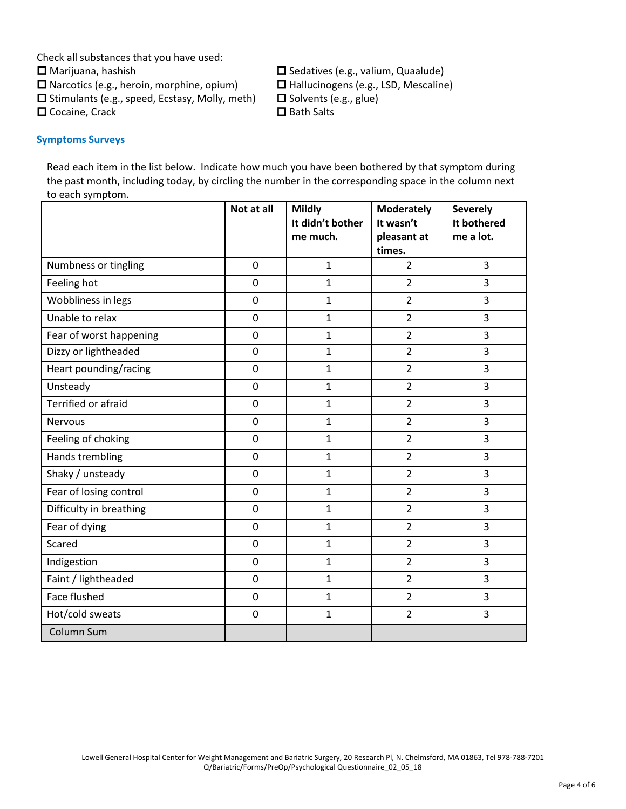Check all substances that you have used:

 $\Box$  Narcotics (e.g., heroin, morphine, opium)  $\Box$  Hallucinogens (e.g., LSD, Mescaline)

 $\square$  Stimulants (e.g., speed, Ecstasy, Molly, meth)  $\square$  Solvents (e.g., glue)

 $\square$  Cocaine, Crack  $\square$  Bath Salts

 $\square$  Marijuana, hashish  $\square$  Sedatives (e.g., valium, Quaalude)

## **Symptoms Surveys**

Read each item in the list below. Indicate how much you have been bothered by that symptom during the past month, including today, by circling the number in the corresponding space in the column next to each symptom.

|                            | Not at all     | <b>Mildly</b><br>It didn't bother | <b>Moderately</b><br>It wasn't | <b>Severely</b><br>It bothered |
|----------------------------|----------------|-----------------------------------|--------------------------------|--------------------------------|
|                            |                | me much.                          | pleasant at<br>times.          | me a lot.                      |
| Numbness or tingling       | $\overline{0}$ | $\mathbf{1}$                      | $\overline{2}$                 | $\overline{3}$                 |
| Feeling hot                | $\mathbf 0$    | $\mathbf 1$                       | $\overline{2}$                 | 3                              |
| Wobbliness in legs         | $\overline{0}$ | $\mathbf{1}$                      | $\overline{2}$                 | $\overline{3}$                 |
| Unable to relax            | $\overline{0}$ | $\mathbf{1}$                      | $\overline{2}$                 | 3                              |
| Fear of worst happening    | $\overline{0}$ | $\mathbf 1$                       | $\overline{2}$                 | $\overline{3}$                 |
| Dizzy or lightheaded       | $\mathbf 0$    | $\mathbf 1$                       | $\overline{2}$                 | 3                              |
| Heart pounding/racing      | $\mathbf 0$    | $\mathbf 1$                       | $\overline{2}$                 | 3                              |
| Unsteady                   | $\mathbf 0$    | $\mathbf 1$                       | $\overline{2}$                 | 3                              |
| <b>Terrified or afraid</b> | $\mathbf 0$    | $\mathbf{1}$                      | $\overline{2}$                 | $\overline{3}$                 |
| <b>Nervous</b>             | $\mathbf 0$    | $\mathbf{1}$                      | $\overline{2}$                 | 3                              |
| Feeling of choking         | $\mathbf 0$    | $\mathbf 1$                       | $\overline{2}$                 | 3                              |
| Hands trembling            | $\mathbf 0$    | $\mathbf{1}$                      | $\overline{2}$                 | 3                              |
| Shaky / unsteady           | $\mathbf 0$    | $\mathbf 1$                       | $\overline{2}$                 | 3                              |
| Fear of losing control     | $\mathbf 0$    | $\mathbf{1}$                      | $\overline{2}$                 | 3                              |
| Difficulty in breathing    | $\mathbf 0$    | $\mathbf 1$                       | $\overline{2}$                 | 3                              |
| Fear of dying              | $\mathbf 0$    | $\mathbf 1$                       | $\overline{2}$                 | 3                              |
| Scared                     | $\mathbf 0$    | $\mathbf 1$                       | $\overline{2}$                 | 3                              |
| Indigestion                | $\overline{0}$ | $\mathbf{1}$                      | $\overline{2}$                 | 3                              |
| Faint / lightheaded        | $\mathbf 0$    | $\mathbf{1}$                      | $\overline{2}$                 | 3                              |
| Face flushed               | $\overline{0}$ | $\mathbf{1}$                      | $\overline{2}$                 | $\overline{3}$                 |
| Hot/cold sweats            | $\mathbf 0$    | $\mathbf 1$                       | $\overline{2}$                 | 3                              |
| Column Sum                 |                |                                   |                                |                                |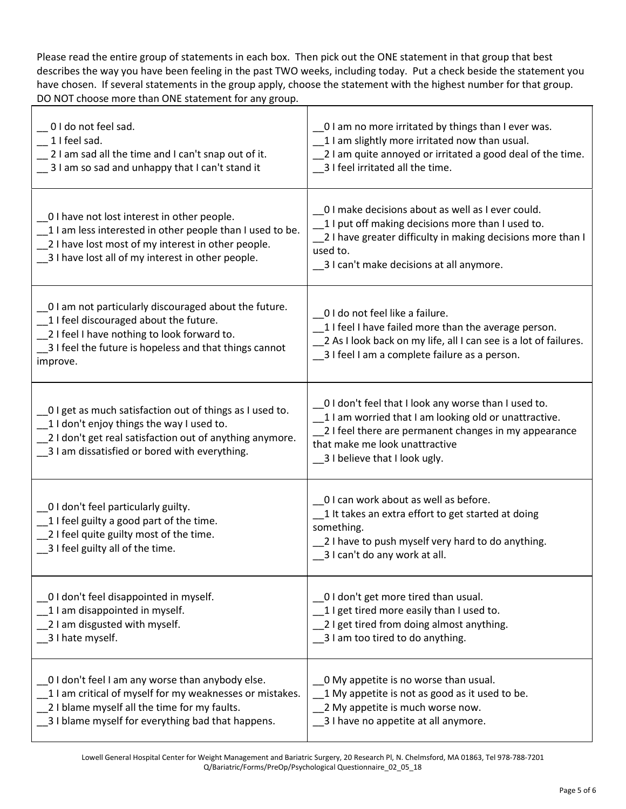Please read the entire group of statements in each box. Then pick out the ONE statement in that group that best describes the way you have been feeling in the past TWO weeks, including today. Put a check beside the statement you have chosen. If several statements in the group apply, choose the statement with the highest number for that group. DO NOT choose more than ONE statement for any group.

| 0 I do not feel sad.<br>1 I feel sad.<br>2 I am sad all the time and I can't snap out of it.<br>3 I am so sad and unhappy that I can't stand it                                                                        | _0 I am no more irritated by things than I ever was.<br>1 I am slightly more irritated now than usual.<br>2 I am quite annoyed or irritated a good deal of the time.<br>3 I feel irritated all the time.                                    |
|------------------------------------------------------------------------------------------------------------------------------------------------------------------------------------------------------------------------|---------------------------------------------------------------------------------------------------------------------------------------------------------------------------------------------------------------------------------------------|
| _0 I have not lost interest in other people.<br>1 I am less interested in other people than I used to be.<br>_2 I have lost most of my interest in other people.<br>_3 I have lost all of my interest in other people. | 0 I make decisions about as well as I ever could.<br>1 I put off making decisions more than I used to.<br>2 I have greater difficulty in making decisions more than I<br>used to.<br>_3 I can't make decisions at all anymore.              |
| _0 I am not particularly discouraged about the future.<br>1 I feel discouraged about the future.<br>2 I feel I have nothing to look forward to.<br>3 I feel the future is hopeless and that things cannot<br>improve.  | 0 I do not feel like a failure.<br>1 I feel I have failed more than the average person.<br>2 As I look back on my life, all I can see is a lot of failures.<br>_3 I feel I am a complete failure as a person.                               |
| 0 I get as much satisfaction out of things as I used to.<br>1 I don't enjoy things the way I used to.<br>_2 I don't get real satisfaction out of anything anymore.<br>3 I am dissatisfied or bored with everything.    | _0 I don't feel that I look any worse than I used to.<br>1 I am worried that I am looking old or unattractive.<br>2 I feel there are permanent changes in my appearance<br>that make me look unattractive<br>_3 I believe that I look ugly. |
| 0 I don't feel particularly guilty.<br>1 I feel guilty a good part of the time.<br>2 I feel quite guilty most of the time.<br>3 I feel guilty all of the time.                                                         | 0 I can work about as well as before.<br>1 It takes an extra effort to get started at doing<br>something.<br>2 I have to push myself very hard to do anything.<br>3 I can't do any work at all.                                             |
| _0 I don't feel disappointed in myself.<br>1 I am disappointed in myself.<br>2 I am disgusted with myself.<br>_3 I hate myself.                                                                                        | _0 I don't get more tired than usual.<br>1 I get tired more easily than I used to.<br>2 I get tired from doing almost anything.<br>3 I am too tired to do anything.                                                                         |
| O I don't feel I am any worse than anybody else.<br>1 I am critical of myself for my weaknesses or mistakes.<br>2 I blame myself all the time for my faults.<br>3 I blame myself for everything bad that happens.      | O My appetite is no worse than usual.<br>1 My appetite is not as good as it used to be.<br>2 My appetite is much worse now.<br>3 I have no appetite at all anymore.                                                                         |

Lowell General Hospital Center for Weight Management and Bariatric Surgery, 20 Research Pl, N. Chelmsford, MA 01863, Tel 978-788-7201 Q/Bariatric/Forms/PreOp/Psychological Questionnaire\_02\_05\_18